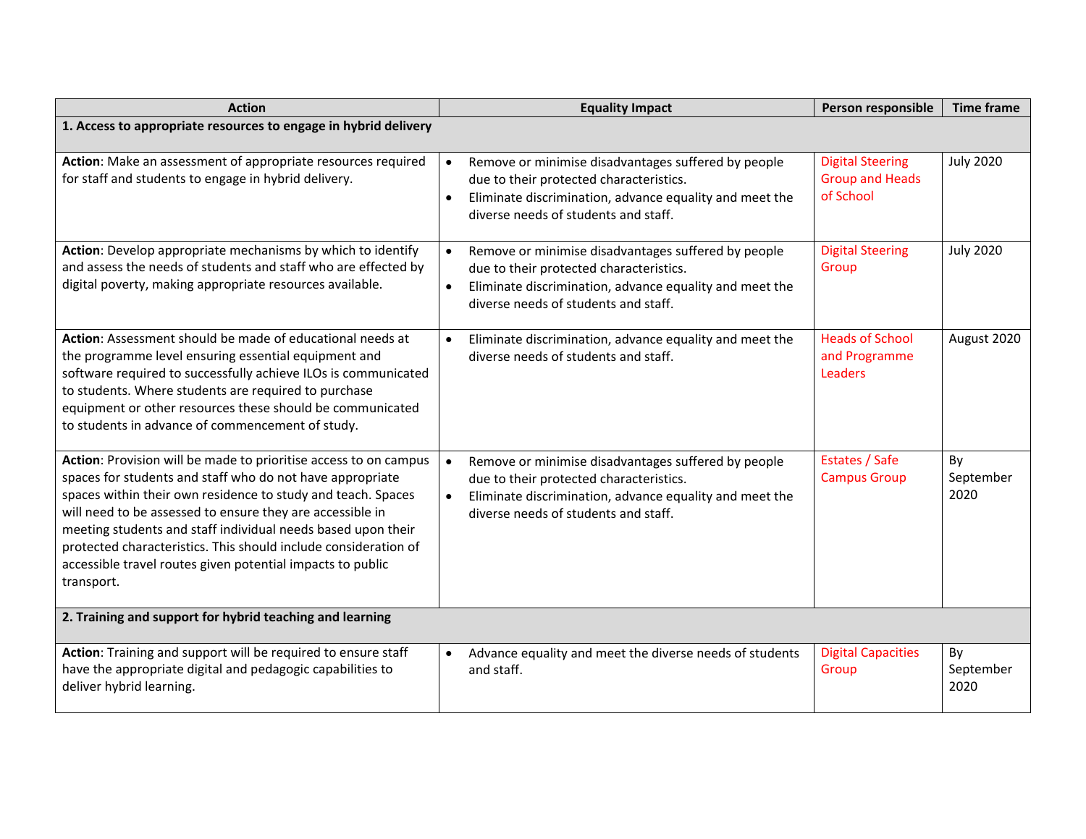| <b>Action</b>                                                                                                                                                                                                                                                                                                                                                                                                                                                             | <b>Equality Impact</b>                                                                                                                                                                                                      | Person responsible                                             | <b>Time frame</b>       |
|---------------------------------------------------------------------------------------------------------------------------------------------------------------------------------------------------------------------------------------------------------------------------------------------------------------------------------------------------------------------------------------------------------------------------------------------------------------------------|-----------------------------------------------------------------------------------------------------------------------------------------------------------------------------------------------------------------------------|----------------------------------------------------------------|-------------------------|
| 1. Access to appropriate resources to engage in hybrid delivery                                                                                                                                                                                                                                                                                                                                                                                                           |                                                                                                                                                                                                                             |                                                                |                         |
| Action: Make an assessment of appropriate resources required<br>for staff and students to engage in hybrid delivery.                                                                                                                                                                                                                                                                                                                                                      | Remove or minimise disadvantages suffered by people<br>$\bullet$<br>due to their protected characteristics.<br>Eliminate discrimination, advance equality and meet the<br>$\bullet$<br>diverse needs of students and staff. | <b>Digital Steering</b><br><b>Group and Heads</b><br>of School | <b>July 2020</b>        |
| Action: Develop appropriate mechanisms by which to identify<br>and assess the needs of students and staff who are effected<br>by digital<br>making appropriate resources available.                                                                                                                                                                                                                                                                                       | Remove or minimise disadvantages suffered by people<br>$\bullet$<br>due to their protected characteristics.<br>Eliminate discrimination, advance equality and meet the<br>$\bullet$<br>diverse needs of students and staff. | <b>Digital Steering</b><br>Group                               | <b>July 2020</b>        |
| Action: Assessment should be made of educational needs at<br>the programme level ensuring essential equipment and<br>software required to successfully achieve ILOs is communicated<br>to students. Where students are required to purchase<br>equipment or other resources these should be communicated<br>to students in advance of commencement of study.                                                                                                              | Eliminate discrimination, advance equality and meet the<br>$\bullet$<br>diverse needs of students and staff.                                                                                                                | <b>Heads of School</b><br>and Programme<br>Leaders             | August 2020             |
| Action: Provision will be made to prioritise access to on campus<br>spaces for students and staff who do not have appropriate<br>spaces within their own residence to study and teach. Spaces<br>will need to be assessed to ensure they are accessible in<br>meeting students and staff individual needs based upon their<br>protected characteristics. This should include consideration of<br>accessible travel routes given potential impacts to public<br>transport. | Remove or minimise disadvantages suffered by people<br>$\bullet$<br>due to their protected characteristics.<br>Eliminate discrimination, advance equality and meet the<br>$\bullet$<br>diverse needs of students and staff. | Estates / Safe<br><b>Campus Group</b>                          | By<br>September<br>2020 |
| 2. Training and support for hybrid teaching and learning                                                                                                                                                                                                                                                                                                                                                                                                                  |                                                                                                                                                                                                                             |                                                                |                         |
| Action: Training and support will be required to ensure staff<br>have the appropriate digital and pedagogic capabilities to<br>deliver hybrid learning.                                                                                                                                                                                                                                                                                                                   | Advance equality and meet the diverse needs of students<br>$\bullet$<br>and staff.                                                                                                                                          | <b>Digital Capacities</b><br>Group                             | By<br>September<br>2020 |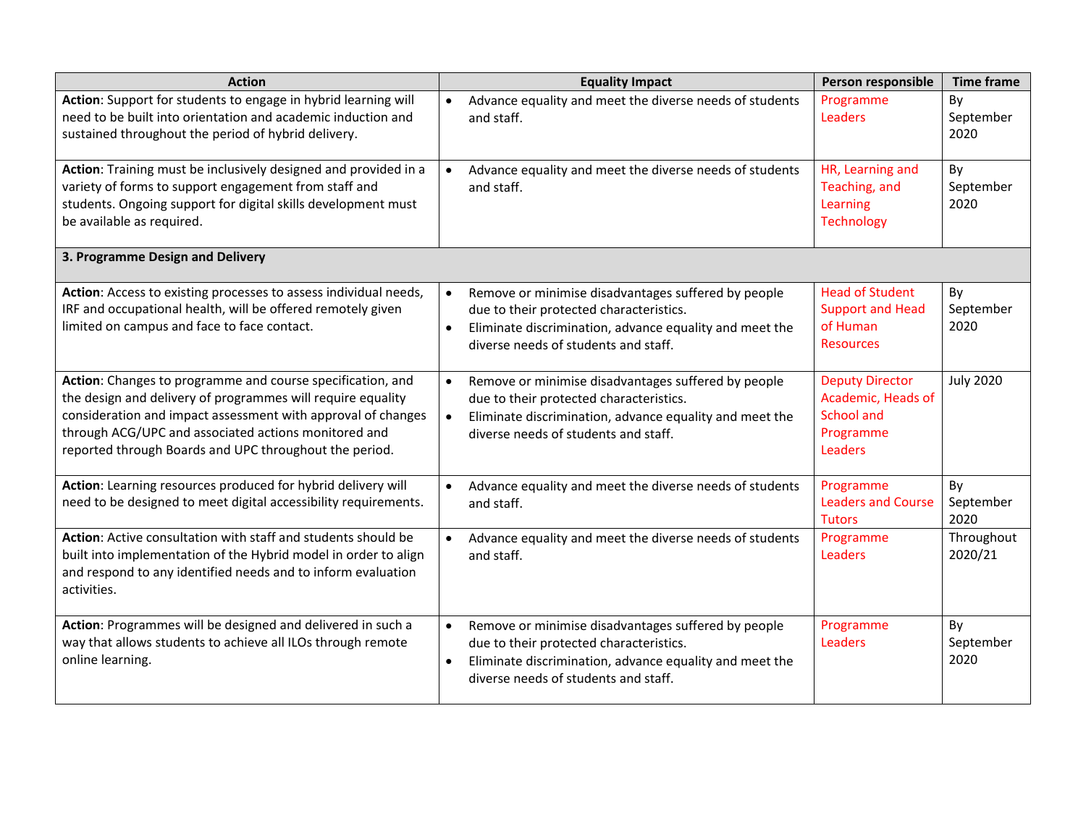| <b>Action</b>                                                                                                                                                                                                                                                                                               | <b>Equality Impact</b>                                                                                                                                                                                                      | Person responsible                                                                 | <b>Time frame</b>       |
|-------------------------------------------------------------------------------------------------------------------------------------------------------------------------------------------------------------------------------------------------------------------------------------------------------------|-----------------------------------------------------------------------------------------------------------------------------------------------------------------------------------------------------------------------------|------------------------------------------------------------------------------------|-------------------------|
| Action: Support for students to engage in hybrid learning will<br>need to be built into orientation and academic induction and<br>sustained throughout the period of hybrid delivery.                                                                                                                       | Advance equality and meet the diverse needs of students<br>$\bullet$<br>and staff.                                                                                                                                          | Programme<br>Leaders                                                               | By<br>September<br>2020 |
| Action: Training must be inclusively designed and provided in a<br>variety of forms to support engagement from staff and<br>students. Ongoing support for digital skills development must<br>be available as required.                                                                                      | Advance equality and meet the diverse needs of students<br>$\bullet$<br>and staff.                                                                                                                                          | HR, Learning and<br>Teaching, and<br>Learning<br>Technology                        | By<br>September<br>2020 |
| 3. Programme Design and Delivery                                                                                                                                                                                                                                                                            |                                                                                                                                                                                                                             |                                                                                    |                         |
| Action: Access to existing processes to assess individual needs,<br>IRF and occupational health, will be offered remotely given<br>limited on campus and face to face contact.                                                                                                                              | Remove or minimise disadvantages suffered by people<br>$\bullet$<br>due to their protected characteristics.<br>Eliminate discrimination, advance equality and meet the<br>$\bullet$<br>diverse needs of students and staff. | <b>Head of Student</b><br><b>Support and Head</b><br>of Human<br><b>Resources</b>  | By<br>September<br>2020 |
| Action: Changes to programme and course specification, and<br>the design and delivery of programmes will require equality<br>consideration and impact assessment with approval of changes<br>through ACG/UPC and associated actions monitored and<br>reported through Boards and UPC throughout the period. | Remove or minimise disadvantages suffered by people<br>$\bullet$<br>due to their protected characteristics.<br>Eliminate discrimination, advance equality and meet the<br>$\bullet$<br>diverse needs of students and staff. | <b>Deputy Director</b><br>Academic, Heads of<br>School and<br>Programme<br>Leaders | <b>July 2020</b>        |
| Action: Learning resources produced for hybrid delivery will<br>need to be designed to meet digital accessibility requirements.                                                                                                                                                                             | Advance equality and meet the diverse needs of students<br>$\bullet$<br>and staff.                                                                                                                                          | Programme<br><b>Leaders and Course</b><br><b>Tutors</b>                            | By<br>September<br>2020 |
| Action: Active consultation with staff and students should be<br>built into implementation of the Hybrid model in order to align<br>and respond to any identified needs and to inform evaluation<br>activities.                                                                                             | Advance equality and meet the diverse needs of students<br>$\bullet$<br>and staff.                                                                                                                                          | Programme<br>Leaders                                                               | Throughout<br>2020/21   |
| Action: Programmes will be designed and delivered in such a<br>way that allows students to achieve all ILOs through remote<br>online learning.                                                                                                                                                              | Remove or minimise disadvantages suffered by people<br>$\bullet$<br>due to their protected characteristics.<br>Eliminate discrimination, advance equality and meet the<br>$\bullet$<br>diverse needs of students and staff. | Programme<br>Leaders                                                               | By<br>September<br>2020 |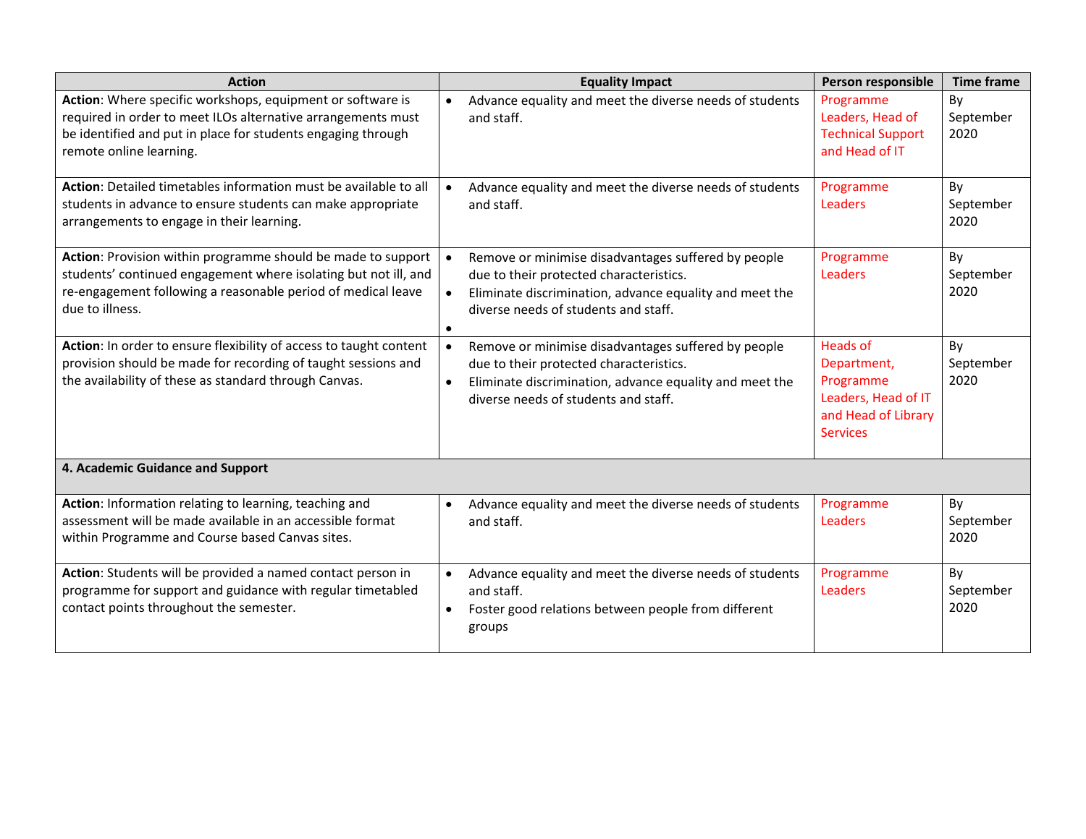| <b>Action</b>                                                                                                                                                                                                         | <b>Equality Impact</b>                                                                                                                                                                                                      | Person responsible                                                                                           | <b>Time frame</b>       |
|-----------------------------------------------------------------------------------------------------------------------------------------------------------------------------------------------------------------------|-----------------------------------------------------------------------------------------------------------------------------------------------------------------------------------------------------------------------------|--------------------------------------------------------------------------------------------------------------|-------------------------|
| Action: Where specific workshops, equipment or software is<br>required in order to meet ILOs alternative arrangements must<br>be identified and put in place for students engaging through<br>remote online learning. | Advance equality and meet the diverse needs of students<br>$\bullet$<br>and staff.                                                                                                                                          | Programme<br>Leaders, Head of<br><b>Technical Support</b><br>and Head of IT                                  | By<br>September<br>2020 |
| Action: Detailed timetables information must be available to all<br>students in advance to ensure students can make appropriate<br>arrangements to engage in their learning.                                          | Advance equality and meet the diverse needs of students<br>and staff.                                                                                                                                                       | Programme<br>Leaders                                                                                         | By<br>September<br>2020 |
| Action: Provision within programme should be made to support<br>students' continued engagement where isolating but not ill, and<br>re-engagement following a reasonable period of medical leave<br>due to illness.    | Remove or minimise disadvantages suffered by people<br>$\bullet$<br>due to their protected characteristics.<br>Eliminate discrimination, advance equality and meet the<br>$\bullet$<br>diverse needs of students and staff. | Programme<br>Leaders                                                                                         | By<br>September<br>2020 |
| Action: In order to ensure flexibility of access to taught content<br>provision should be made for recording of taught sessions and<br>the availability of these as standard through Canvas.                          | Remove or minimise disadvantages suffered by people<br>$\bullet$<br>due to their protected characteristics.<br>Eliminate discrimination, advance equality and meet the<br>$\bullet$<br>diverse needs of students and staff. | <b>Heads of</b><br>Department,<br>Programme<br>Leaders, Head of IT<br>and Head of Library<br><b>Services</b> | By<br>September<br>2020 |
| 4. Academic Guidance and Support                                                                                                                                                                                      |                                                                                                                                                                                                                             |                                                                                                              |                         |
| Action: Information relating to learning, teaching and<br>assessment will be made available in an accessible format<br>within Programme and Course based Canvas sites.                                                | Advance equality and meet the diverse needs of students<br>$\bullet$<br>and staff.                                                                                                                                          | Programme<br>Leaders                                                                                         | By<br>September<br>2020 |
| Action: Students will be provided a named contact person in<br>programme for support and guidance with regular timetabled<br>contact points throughout the semester.                                                  | Advance equality and meet the diverse needs of students<br>$\bullet$<br>and staff.<br>Foster good relations between people from different<br>$\bullet$<br>groups                                                            | Programme<br>Leaders                                                                                         | By<br>September<br>2020 |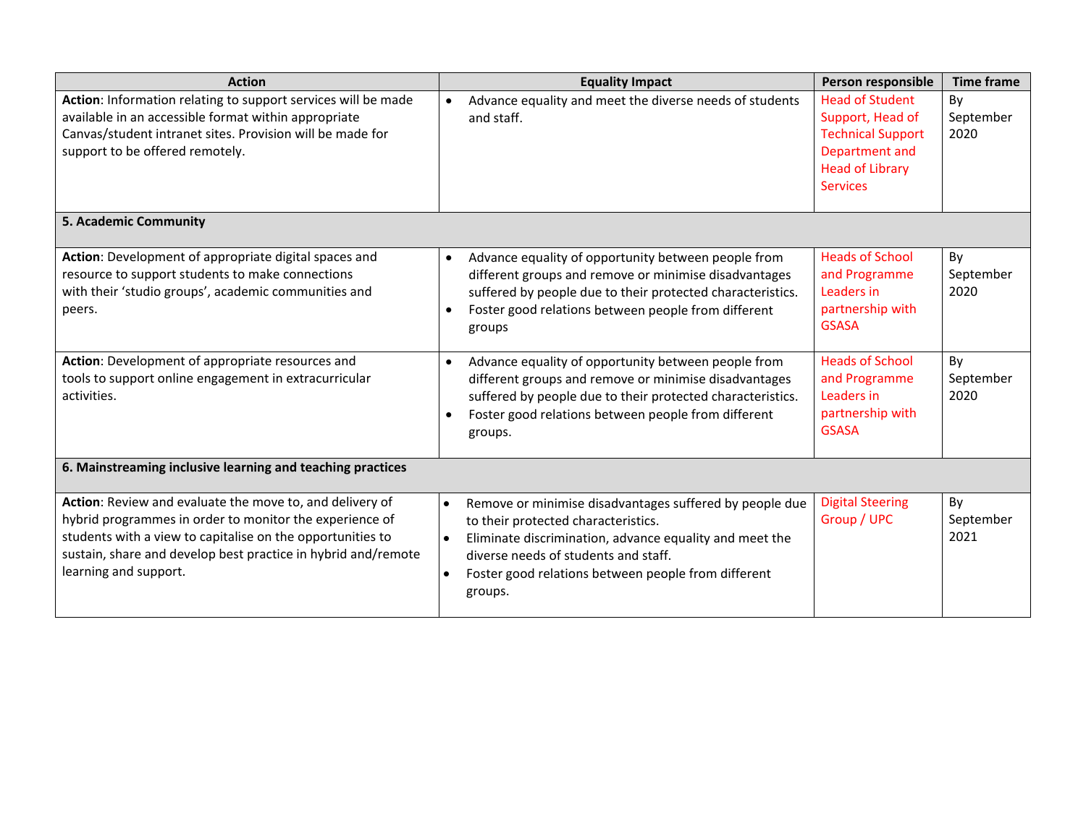| <b>Action</b>                                                                                                                                                                                                                                                               | <b>Equality Impact</b>                                                                                                                                                                                                                                                                        | Person responsible                                                                                                                    | <b>Time frame</b>       |
|-----------------------------------------------------------------------------------------------------------------------------------------------------------------------------------------------------------------------------------------------------------------------------|-----------------------------------------------------------------------------------------------------------------------------------------------------------------------------------------------------------------------------------------------------------------------------------------------|---------------------------------------------------------------------------------------------------------------------------------------|-------------------------|
| Action: Information relating to support services will be made<br>available in an accessible format within appropriate<br>Canvas/student intranet sites. Provision will be made for<br>support to be offered remotely.                                                       | Advance equality and meet the diverse needs of students<br>$\bullet$<br>and staff.                                                                                                                                                                                                            | <b>Head of Student</b><br>Support, Head of<br><b>Technical Support</b><br>Department and<br><b>Head of Library</b><br><b>Services</b> | By<br>September<br>2020 |
| 5. Academic Community                                                                                                                                                                                                                                                       |                                                                                                                                                                                                                                                                                               |                                                                                                                                       |                         |
| Action: Development of appropriate digital spaces and<br>resource to support students to make connections<br>with their 'studio groups', academic communities and<br>peers.                                                                                                 | Advance equality of opportunity between people from<br>$\bullet$<br>different groups and remove or minimise disadvantages<br>suffered by people due to their protected characteristics.<br>Foster good relations between people from different<br>groups                                      | <b>Heads of School</b><br>and Programme<br>Leaders in<br>partnership with<br><b>GSASA</b>                                             | By<br>September<br>2020 |
| Action: Development of appropriate resources and<br>tools to support online engagement in extracurricular<br>activities.                                                                                                                                                    | Advance equality of opportunity between people from<br>$\bullet$<br>different groups and remove or minimise disadvantages<br>suffered by people due to their protected characteristics.<br>Foster good relations between people from different<br>groups.                                     | <b>Heads of School</b><br>and Programme<br>Leaders in<br>partnership with<br><b>GSASA</b>                                             | By<br>September<br>2020 |
| 6. Mainstreaming inclusive learning and teaching practices                                                                                                                                                                                                                  |                                                                                                                                                                                                                                                                                               |                                                                                                                                       |                         |
| Action: Review and evaluate the move to, and delivery of<br>hybrid programmes in order to monitor the experience of<br>students with a view to capitalise on the opportunities to<br>sustain, share and develop best practice in hybrid and/remote<br>learning and support. | Remove or minimise disadvantages suffered by people due<br>$\bullet$<br>to their protected characteristics.<br>Eliminate discrimination, advance equality and meet the<br>$\bullet$<br>diverse needs of students and staff.<br>Foster good relations between people from different<br>groups. | <b>Digital Steering</b><br>Group / UPC                                                                                                | By<br>September<br>2021 |